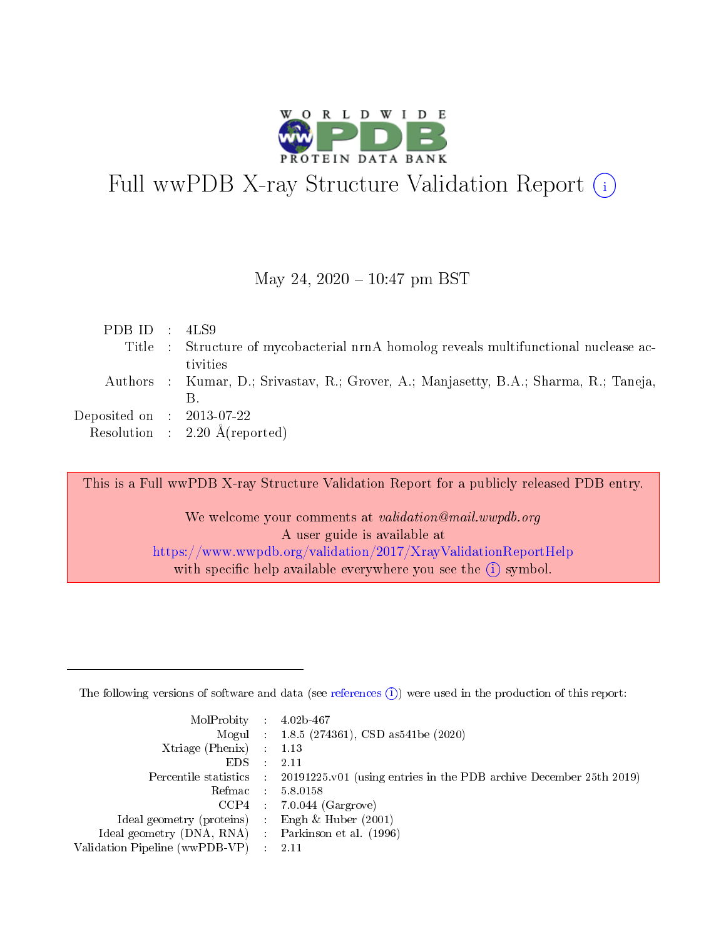

# Full wwPDB X-ray Structure Validation Report  $(i)$

#### May 24,  $2020 - 10:47$  pm BST

| PDB ID : $4LS9$                      |                                                                                       |
|--------------------------------------|---------------------------------------------------------------------------------------|
|                                      | Title : Structure of mycobacterial nrnA homolog reveals multifunctional nuclease ac-  |
|                                      | tivities                                                                              |
|                                      | Authors : Kumar, D.; Srivastav, R.; Grover, A.; Manjasetty, B.A.; Sharma, R.; Taneja, |
|                                      |                                                                                       |
| Deposited on $\therefore$ 2013-07-22 |                                                                                       |
|                                      | Resolution : $2.20 \text{ Å}$ (reported)                                              |
|                                      |                                                                                       |

This is a Full wwPDB X-ray Structure Validation Report for a publicly released PDB entry.

We welcome your comments at validation@mail.wwpdb.org A user guide is available at <https://www.wwpdb.org/validation/2017/XrayValidationReportHelp> with specific help available everywhere you see the  $(i)$  symbol.

The following versions of software and data (see [references](https://www.wwpdb.org/validation/2017/XrayValidationReportHelp#references)  $(1)$ ) were used in the production of this report:

| MolProbity : $4.02b-467$                            |               |                                                                                            |
|-----------------------------------------------------|---------------|--------------------------------------------------------------------------------------------|
|                                                     |               | Mogul : $1.8.5$ (274361), CSD as 541be (2020)                                              |
| Xtriage (Phenix) $: 1.13$                           |               |                                                                                            |
| EDS.                                                | $\mathcal{L}$ | 2.11                                                                                       |
|                                                     |               | Percentile statistics : 20191225.v01 (using entries in the PDB archive December 25th 2019) |
| Refmac 5.8.0158                                     |               |                                                                                            |
|                                                     |               | $CCP4$ : 7.0.044 (Gargrove)                                                                |
| Ideal geometry (proteins)                           |               | Engh $\&$ Huber (2001)                                                                     |
| Ideal geometry (DNA, RNA) : Parkinson et al. (1996) |               |                                                                                            |
| Validation Pipeline (wwPDB-VP) : 2.11               |               |                                                                                            |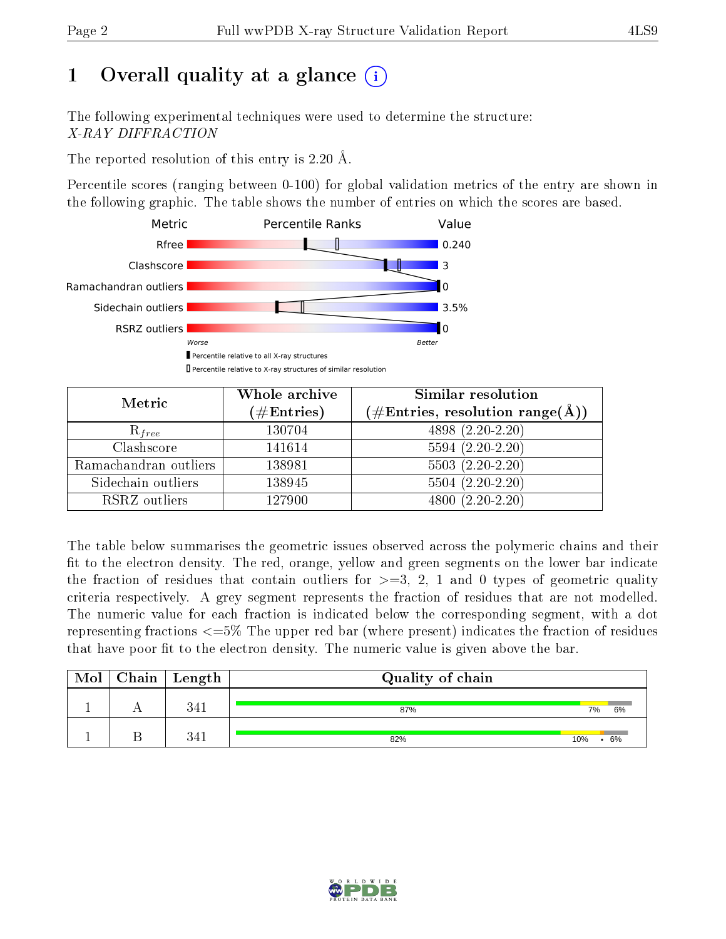# 1 [O](https://www.wwpdb.org/validation/2017/XrayValidationReportHelp#overall_quality)verall quality at a glance  $(i)$

The following experimental techniques were used to determine the structure: X-RAY DIFFRACTION

The reported resolution of this entry is 2.20 Å.

Percentile scores (ranging between 0-100) for global validation metrics of the entry are shown in the following graphic. The table shows the number of entries on which the scores are based.



| Metric                | Whole archive<br>$(\#\mathrm{Entries})$ | Similar resolution<br>$(\#\text{Entries},\, \text{resolution}\; \text{range}(\textup{\AA}))$ |  |  |
|-----------------------|-----------------------------------------|----------------------------------------------------------------------------------------------|--|--|
| $R_{free}$            | 130704                                  | $4898(2.20-2.20)$                                                                            |  |  |
| Clashscore            | 141614                                  | $5594(2.20-2.20)$                                                                            |  |  |
| Ramachandran outliers | 138981                                  | $5503(2.20-2.20)$                                                                            |  |  |
| Sidechain outliers    | 138945                                  | $5504(2.20-2.20)$                                                                            |  |  |
| RSRZ outliers         | 127900                                  | $4800(2.20-2.20)$                                                                            |  |  |

The table below summarises the geometric issues observed across the polymeric chains and their fit to the electron density. The red, orange, yellow and green segments on the lower bar indicate the fraction of residues that contain outliers for  $>=3, 2, 1$  and 0 types of geometric quality criteria respectively. A grey segment represents the fraction of residues that are not modelled. The numeric value for each fraction is indicated below the corresponding segment, with a dot representing fractions  $\epsilon=5\%$  The upper red bar (where present) indicates the fraction of residues that have poor fit to the electron density. The numeric value is given above the bar.

| Mol | ${\bf Chain \mid Length}$ | Quality of chain |     |    |
|-----|---------------------------|------------------|-----|----|
|     | 341                       | 87%              | 7%  | 6% |
|     | 341                       | 82%              | 10% | 6% |

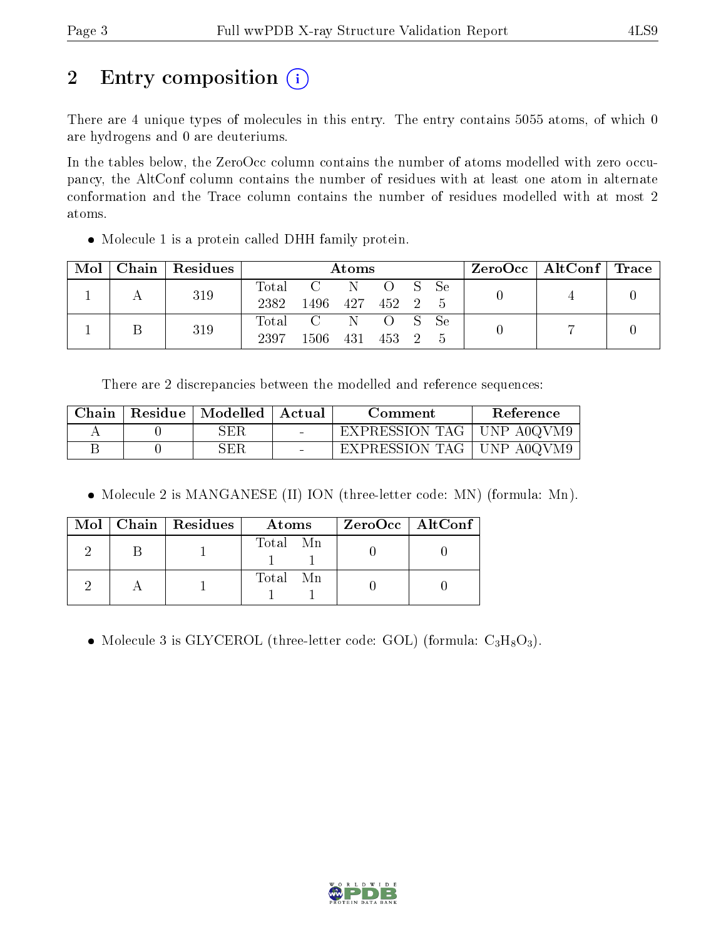# 2 Entry composition (i)

There are 4 unique types of molecules in this entry. The entry contains 5055 atoms, of which 0 are hydrogens and 0 are deuteriums.

In the tables below, the ZeroOcc column contains the number of atoms modelled with zero occupancy, the AltConf column contains the number of residues with at least one atom in alternate conformation and the Trace column contains the number of residues modelled with at most 2 atoms.

• Molecule 1 is a protein called DHH family protein.

| Mol | $C$ hain   Residues | Atoms                    |                    |            |                   |  | $\text{ZeroOcc}$   AltConf   Trace |  |  |
|-----|---------------------|--------------------------|--------------------|------------|-------------------|--|------------------------------------|--|--|
|     | 319                 | $\mathrm{Total}$<br>2382 | 1496 427 452 2 5   | C N O S Se |                   |  |                                    |  |  |
|     | 319                 | 2397                     | Total C N<br>1506. | - 431      | O S Se<br>453 2 5 |  |                                    |  |  |

There are 2 discrepancies between the modelled and reference sequences:

| Chain | Residue   Modelled   Actual |        | Comment                     | Reference |
|-------|-----------------------------|--------|-----------------------------|-----------|
|       | SER                         |        | EXPRESSION TAG   UNP A0QVM9 |           |
|       | SER                         | $\sim$ | EXPRESSION TAG   UNP A0QVM9 |           |

• Molecule 2 is MANGANESE (II) ION (three-letter code: MN) (formula: Mn).

|  | $Mol$   Chain   Residues | Atoms    | $ZeroOcc \   \ AltConf$ |
|--|--------------------------|----------|-------------------------|
|  |                          | Total Mn |                         |
|  |                          | Total Mn |                         |

• Molecule 3 is GLYCEROL (three-letter code: GOL) (formula:  $C_3H_8O_3$ ).

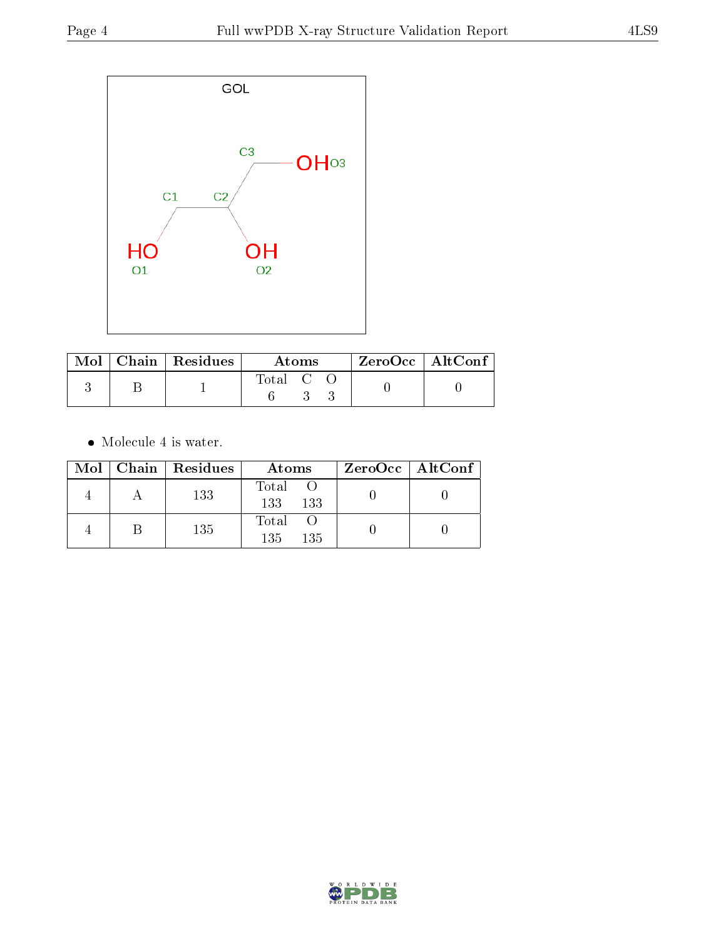

|  | Mol   Chain   Residues | Atoms     |  |  | $\rm ZeroOcc \mid AltConf$ |  |
|--|------------------------|-----------|--|--|----------------------------|--|
|  |                        | Total C C |  |  |                            |  |

 $\bullet\,$  Molecule 4 is water.

|  | Mol   Chain   Residues | Atoms               | $ZeroOcc \   \$ AltConf |
|--|------------------------|---------------------|-------------------------|
|  | 133                    | Total<br>133<br>133 |                         |
|  | 135                    | Total<br>135<br>135 |                         |

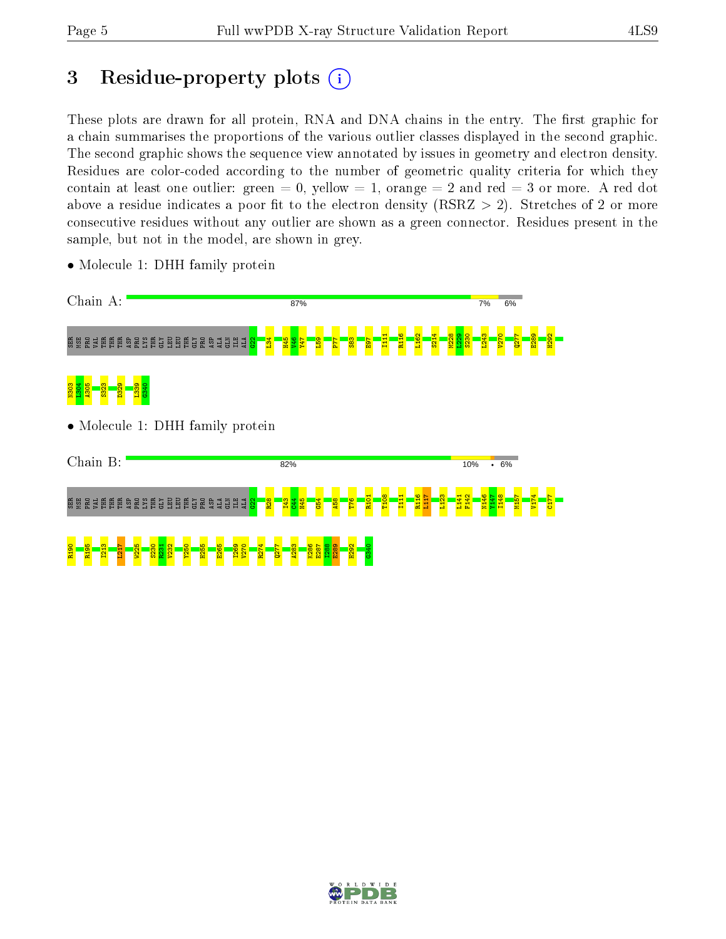R190 R195 I213 L217 W225 S230 R231 V232 Y250 H255 E265 I269 V270 R274 Q277 A283 K286 E287 I288 E289 H292 G340 E289 H292

V174 C177

# 3 Residue-property plots  $(i)$

These plots are drawn for all protein, RNA and DNA chains in the entry. The first graphic for a chain summarises the proportions of the various outlier classes displayed in the second graphic. The second graphic shows the sequence view annotated by issues in geometry and electron density. Residues are color-coded according to the number of geometric quality criteria for which they contain at least one outlier: green  $= 0$ , yellow  $= 1$ , orange  $= 2$  and red  $= 3$  or more. A red dot above a residue indicates a poor fit to the electron density (RSRZ  $> 2$ ). Stretches of 2 or more consecutive residues without any outlier are shown as a green connector. Residues present in the sample, but not in the model, are shown in grey.

- Chain A: 87% 7% 6% I111 R116 L162 S214 M228  $\frac{22}{9}$ S230 L243 V270  $277$  $\mathbb{R}$  ន្ត Experience and Experience and Experience and Experience and Experience and Experience and Experience and Experience and Experience and Experience and Experience and Experience and Experience and Experience an  $\mathbb{S}^2$  $\frac{34}{2}$ H45  $\frac{1}{2}$ Y47  $\frac{159}{2}$ P77  $\frac{3}{8}$  $\overline{\mathbf{B}}$ L304 N303 A305 S323 D329 L339 G340 • Molecule 1: DHH family protein Chain B: 82% 10%  $\frac{1}{1000}$ R101 T108 I111 R116 L117 L123 L141 F142 N146 Y147 I148 M157 SER MSE PRO VAL THR THR THR ASP PRO LYS THR GLY LEU LEU THR GLY PRO ASP ALA GLN ILE ALA  $\frac{22}{22}$ R28 I43  $\frac{44}{15}$ H45  $\frac{54}{5}$ A58 T76
- Molecule 1: DHH family protein

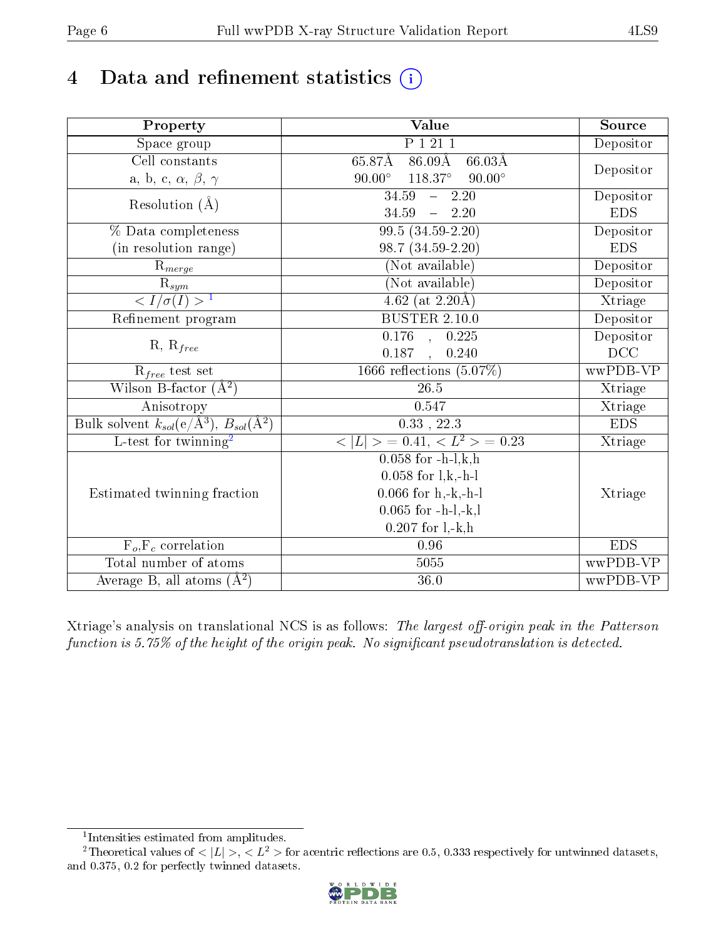# 4 Data and refinement statistics  $(i)$

| Property                                                         | Value                                                    | Source     |
|------------------------------------------------------------------|----------------------------------------------------------|------------|
| $\overline{\text{Space}}$ group                                  | P 1 21 1                                                 | Depositor  |
| Cell constants                                                   | $65.87\text{\AA}$ $86.09\text{\AA}$<br>$66.03\text{\AA}$ |            |
| a, b, c, $\alpha$ , $\beta$ , $\gamma$                           | $118.37^{\circ}$<br>$90.00^\circ$<br>$90.00^\circ$       | Depositor  |
| Resolution $(\AA)$                                               | 34.59<br>$-2.20$                                         | Depositor  |
|                                                                  | 34.59<br>$-2.20$                                         | <b>EDS</b> |
| % Data completeness                                              | $99.5(34.59-2.20)$                                       | Depositor  |
| (in resolution range)                                            | 98.7 (34.59-2.20)                                        | <b>EDS</b> |
| $R_{merge}$                                                      | (Not available)                                          | Depositor  |
| $\frac{R_{sym}}{{}1}$                                            | (Not available)                                          | Depositor  |
|                                                                  | $\overline{4.62}$ (at 2.20 Å)                            | Xtriage    |
| Refinement program                                               | <b>BUSTER 2.10.0</b>                                     | Depositor  |
|                                                                  | $0.176$ , $0.225$                                        | Depositor  |
| $R, R_{free}$                                                    | 0.187<br>, 0.240                                         | DCC        |
| $\mathrm{R}_{free}$ test set                                     | 1666 reflections $(5.07\%)$                              | wwPDB-VP   |
| Wilson B-factor $(A^2)$                                          | 26.5                                                     | Xtriage    |
| Anisotropy                                                       | 0.547                                                    | Xtriage    |
| Bulk solvent $k_{sol}(\text{e}/\text{Å}^3), B_{sol}(\text{Å}^2)$ | $0.33$ , 22.3                                            | <b>EDS</b> |
| L-test for twinning <sup>2</sup>                                 | $< L >$ = 0.41, $< L2$ > = 0.23                          | Xtriage    |
|                                                                  | $0.058$ for $-h-l,k,h$                                   |            |
|                                                                  | $0.058$ for $1, k, -h-1$                                 |            |
| Estimated twinning fraction                                      | $0.066$ for $h,-k,-h-l$                                  | Xtriage    |
|                                                                  | $0.065$ for -h-l,-k,l                                    |            |
|                                                                  | $0.207$ for $1, -k, h$                                   |            |
| $F_o, F_c$ correlation                                           | $0.96\,$                                                 | <b>EDS</b> |
| Total number of atoms                                            | 5055                                                     | wwPDB-VP   |
| Average B, all atoms $(A^2)$                                     | $36.0\,$                                                 | wwPDB-VP   |

Xtriage's analysis on translational NCS is as follows: The largest off-origin peak in the Patterson function is  $5.75\%$  of the height of the origin peak. No significant pseudotranslation is detected.

<sup>&</sup>lt;sup>2</sup>Theoretical values of  $\langle |L| \rangle$ ,  $\langle L^2 \rangle$  for acentric reflections are 0.5, 0.333 respectively for untwinned datasets, and 0.375, 0.2 for perfectly twinned datasets.



<span id="page-5-1"></span><span id="page-5-0"></span><sup>1</sup> Intensities estimated from amplitudes.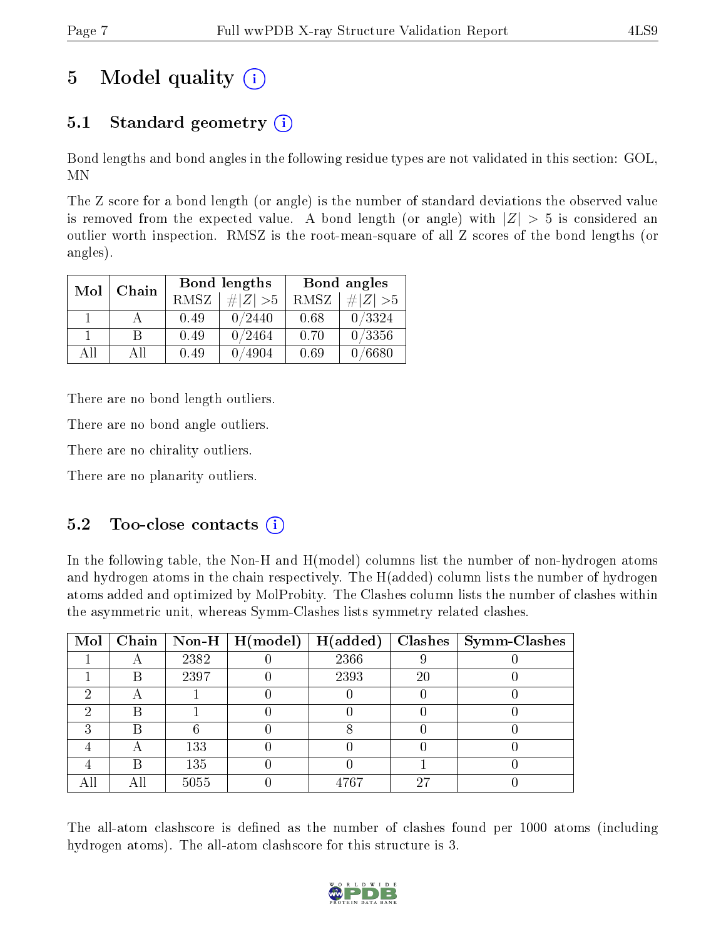# 5 Model quality  $(i)$

## 5.1 Standard geometry  $(i)$

Bond lengths and bond angles in the following residue types are not validated in this section: GOL, MN

The Z score for a bond length (or angle) is the number of standard deviations the observed value is removed from the expected value. A bond length (or angle) with  $|Z| > 5$  is considered an outlier worth inspection. RMSZ is the root-mean-square of all Z scores of the bond lengths (or angles).

| Mol | Chain |      | Bond lengths | Bond angles |             |  |
|-----|-------|------|--------------|-------------|-------------|--|
|     |       | RMSZ | $\# Z  > 5$  | RMSZ        | $\# Z  > 5$ |  |
|     |       | 0.49 | 0/2440       | 0.68        | 0/3324      |  |
|     | В     | 0.49 | 0/2464       | 0.70        | 0/3356      |  |
| АH  | All   | 0.49 | 4904         | 0.69        | /6680       |  |

There are no bond length outliers.

There are no bond angle outliers.

There are no chirality outliers.

There are no planarity outliers.

### $5.2$  Too-close contacts  $\binom{1}{1}$

In the following table, the Non-H and H(model) columns list the number of non-hydrogen atoms and hydrogen atoms in the chain respectively. The H(added) column lists the number of hydrogen atoms added and optimized by MolProbity. The Clashes column lists the number of clashes within the asymmetric unit, whereas Symm-Clashes lists symmetry related clashes.

| Mol |   |      | $\boxed{\text{Chain} \mid \text{Non-H} \mid \text{H}(\text{model})}$ | H(added) |    | $Class \mid Symm$ -Clashes |
|-----|---|------|----------------------------------------------------------------------|----------|----|----------------------------|
|     |   | 2382 |                                                                      | 2366     |    |                            |
|     | B | 2397 |                                                                      | 2393     | 20 |                            |
|     |   |      |                                                                      |          |    |                            |
|     | R |      |                                                                      |          |    |                            |
|     |   |      |                                                                      |          |    |                            |
|     |   | 133  |                                                                      |          |    |                            |
|     |   | 135  |                                                                      |          |    |                            |
|     |   | 5055 |                                                                      | 4767     | 27 |                            |

The all-atom clashscore is defined as the number of clashes found per 1000 atoms (including hydrogen atoms). The all-atom clashscore for this structure is 3.

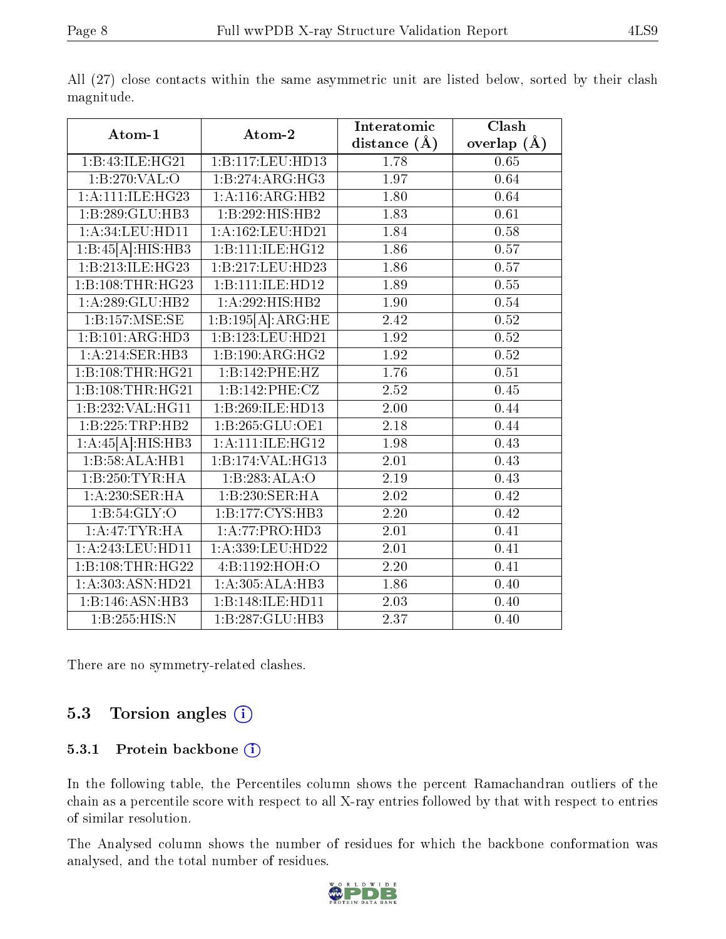|                      |                      | Interatomic       | Clash             |
|----------------------|----------------------|-------------------|-------------------|
| Atom-1               | Atom-2               | distance $(A)$    | overlap $(A)$     |
| 1:B:43:ILE:HG21      | 1:B:117:LEU:HD13     | 1.78              | 0.65              |
| 1:B:270:VAL:O        | 1:B:274:ARG:HG3      | 1.97              | 0.64              |
| 1:A:111:IE:HG23      | 1: A:116: ARG: HB2   | 1.80              | 0.64              |
| 1:B:289:GLU:HB3      | 1:B:292:HIS:HB2      | 1.83              | 0.61              |
| 1: A:34:LEU:HD11     | 1:A:162:LEU:HD21     | 1.84              | 0.58              |
| 1:B:45[A]:HIS:HB3    | 1:B:111:ILE:HG12     | 1.86              | 0.57              |
| 1:B:213:ILE:HG23     | 1:B:217:LEU:HD23     | 1.86              | 0.57              |
| 1:B:108:THR:HG23     | 1:B:111:ILE:HD12     | 1.89              | 0.55              |
| 1:A:289:GLU:HB2      | 1:A:292:HIS:HB2      | 1.90              | 0.54              |
| 1:B:157:MSE:SE       | 1:B:195[A]:ARG:HE    | $\overline{2.42}$ | 0.52              |
| 1:B:101:ARG:HD3      | 1:B:123:LEU:HD21     | 1.92              | 0.52              |
| 1:A:214:SER:HB3      | 1:B:190:ARG:HG2      | 1.92              | 0.52              |
| 1:B:108:THR:HG21     | 1:B:142:PHE:HZ       | 1.76              | 0.51              |
| 1:B:108:THR:HG21     | 1:B:142:PHE:CZ       | 2.52              | 0.45              |
| 1:B:232:VAL:HG11     | 1:B:269:ILE:HD13     | 2.00              | 0.44              |
| 1:B:225:TRP:HB2      | 1:B:265:GLU:OE1      | 2.18              | 0.44              |
| 1:A:45[A]:HIS:HB3    | 1: A: 111: ILE: HG12 | 1.98              | 0.43              |
| 1:B:58:ALA:HB1       | 1:B:174:VAL:HG13     | 2.01              | 0.43              |
| 1:B:250:TYR:HA       | 1:B:283:ALA:O        | 2.19              | 0.43              |
| 1:A:230:SER:HA       | 1:B:230:SER:HA       | 2.02              | 0.42              |
| 1: B:54: GLY:O       | 1:B:177:CYS:HB3      | $\overline{2.20}$ | $\overline{0.42}$ |
| 1:A:47:TYR:HA        | 1:A:77:PRO:HD3       | 2.01              | 0.41              |
| 1:A:243:LEU:HDI1     | 1:A:339:LEU:HD22     | 2.01              | 0.41              |
| 1:B:108:THR:HG22     | 4:B:1192:HOH:O       | 2.20              | 0.41              |
| 1: A: 303: ASN: HD21 | 1: A:305:ALA:HB3     | 1.86              | 0.40              |
| 1:B:146:ASN:HB3      | 1:B:148:ILE:HD11     | 2.03              | 0.40              |
| 1:B:255:HIS:N        | 1:B:287:GLU:HB3      | 2.37              | 0.40              |

All (27) close contacts within the same asymmetric unit are listed below, sorted by their clash magnitude.

There are no symmetry-related clashes.

### 5.3 Torsion angles  $(i)$

#### 5.3.1 Protein backbone (i)

In the following table, the Percentiles column shows the percent Ramachandran outliers of the chain as a percentile score with respect to all X-ray entries followed by that with respect to entries of similar resolution.

The Analysed column shows the number of residues for which the backbone conformation was analysed, and the total number of residues.

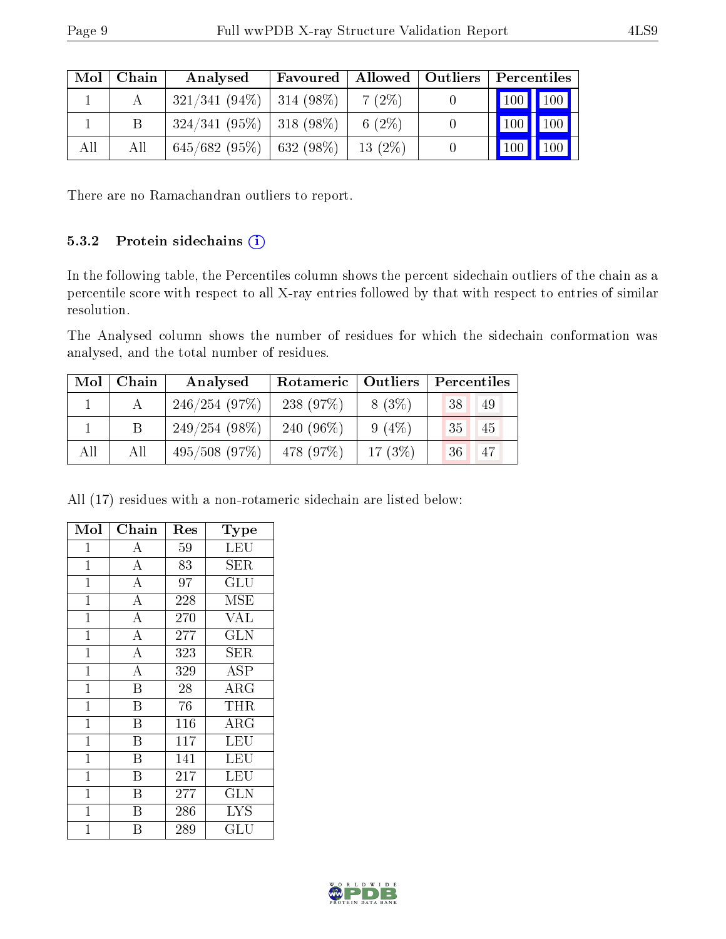| Mol | Chain | Analysed                      | Favoured |           | Allowed   Outliers | $\mid$ Percentiles $\mid$ |
|-----|-------|-------------------------------|----------|-----------|--------------------|---------------------------|
|     |       | $321/341 (94\%)$ 314 (98\%)   |          | $7(2\%)$  |                    | 100 100                   |
|     |       | $324/341$ (95%)   318 (98%)   |          | 6 $(2\%)$ |                    | 100<br>100                |
| All | All   | $645/682$ (95\%)   632 (98\%) |          | $13(2\%)$ |                    | 100<br>100                |

There are no Ramachandran outliers to report.

#### 5.3.2 Protein sidechains  $(i)$

In the following table, the Percentiles column shows the percent sidechain outliers of the chain as a percentile score with respect to all X-ray entries followed by that with respect to entries of similar resolution.

The Analysed column shows the number of residues for which the sidechain conformation was analysed, and the total number of residues.

| Mol | Chain | Analysed         | Rotameric   Outliers |           | Percentiles         |  |  |
|-----|-------|------------------|----------------------|-----------|---------------------|--|--|
|     |       | 246/254(97%)     | 238(97%)             | $8(3\%)$  | 38<br>49            |  |  |
|     |       | $249/254(98\%)$  | 240 $(96\%)$         | $9(4\%)$  | <sup>35</sup><br>45 |  |  |
| All | All   | $495/508$ (97\%) | 478 (97\%)           | $17(3\%)$ | -47<br>-36          |  |  |

All (17) residues with a non-rotameric sidechain are listed below:

| Mol            | Chain                   | $\operatorname{Res}% \left( \mathcal{N}\right) \equiv\operatorname{Res}(\mathcal{N}_{0})\cap\mathcal{N}_{1}$ | Type                    |
|----------------|-------------------------|--------------------------------------------------------------------------------------------------------------|-------------------------|
| $\mathbf{1}$   | А                       | 59                                                                                                           | LEU                     |
| $\mathbf{1}$   | $\overline{A}$          | 83                                                                                                           | ${\rm SER}$             |
| $\overline{1}$ | $\overline{\rm A}$      | 97                                                                                                           | $\widetilde{{\rm GLU}}$ |
| $\mathbf 1$    | $\overline{\rm A}$      | 228                                                                                                          | MSE                     |
| $\mathbf{1}$   | $\overline{\rm A}$      | 270                                                                                                          | <b>VAL</b>              |
| $\overline{1}$ | $\overline{\rm A}$      | 277                                                                                                          | $\overline{\text{GLN}}$ |
| $\mathbf{1}$   | $\overline{\rm A}$      | 323                                                                                                          | SER                     |
| $\mathbf{1}$   | $\overline{\rm A}$      | 329                                                                                                          | ASP                     |
| $\mathbf{1}$   | $\overline{\mathrm{B}}$ | 28                                                                                                           | ARG                     |
| $\mathbf{1}$   | B                       | 76                                                                                                           | THR                     |
| $\mathbf{1}$   | B                       | 116                                                                                                          | ARG                     |
| $\mathbf{1}$   | B                       | 117                                                                                                          | LEU                     |
| $\overline{1}$ | $\overline{\mathrm{B}}$ | 141                                                                                                          | LEU                     |
| $\mathbf{1}$   | B                       | 217                                                                                                          | LEU                     |
| $\mathbf{1}$   | $\overline{\mathrm{B}}$ | $\overline{2}77$                                                                                             | $\overline{\text{GLN}}$ |
| $\mathbf{1}$   | B                       | 286                                                                                                          | <b>LYS</b>              |
| $\overline{1}$ | В                       | 289                                                                                                          | GLU                     |

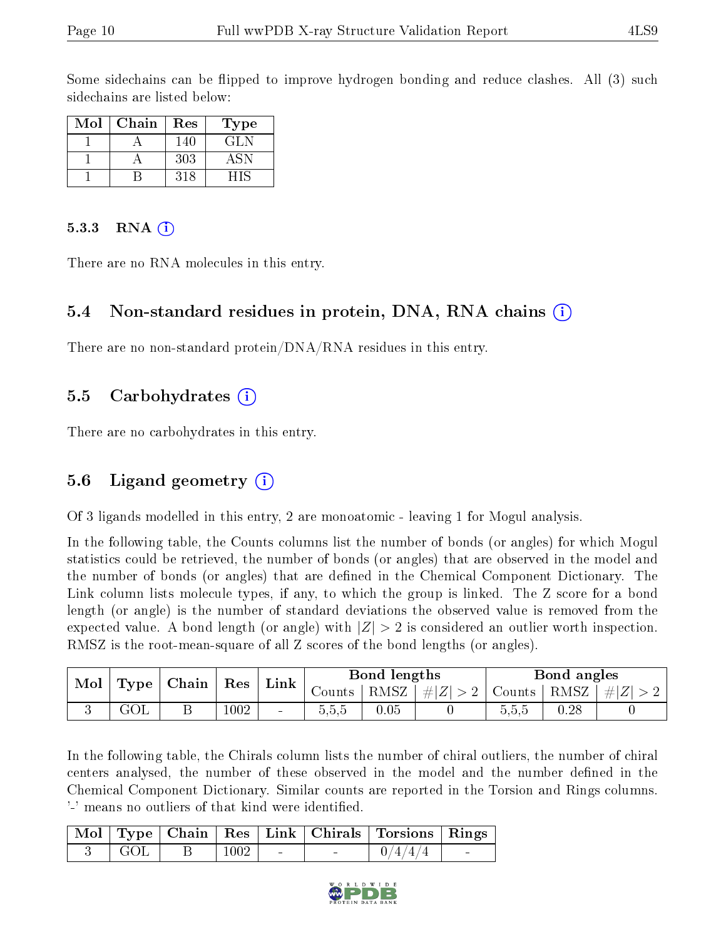Some sidechains can be flipped to improve hydrogen bonding and reduce clashes. All (3) such sidechains are listed below:

| $\operatorname{Mol}$ | Chain | Res | Type |
|----------------------|-------|-----|------|
|                      |       | 140 | GLN  |
|                      |       | 303 |      |
|                      |       | 318 |      |

#### 5.3.3 RNA  $(i)$

There are no RNA molecules in this entry.

#### 5.4 Non-standard residues in protein, DNA, RNA chains (i)

There are no non-standard protein/DNA/RNA residues in this entry.

#### 5.5 Carbohydrates (i)

There are no carbohydrates in this entry.

### 5.6 Ligand geometry (i)

Of 3 ligands modelled in this entry, 2 are monoatomic - leaving 1 for Mogul analysis.

In the following table, the Counts columns list the number of bonds (or angles) for which Mogul statistics could be retrieved, the number of bonds (or angles) that are observed in the model and the number of bonds (or angles) that are defined in the Chemical Component Dictionary. The Link column lists molecule types, if any, to which the group is linked. The Z score for a bond length (or angle) is the number of standard deviations the observed value is removed from the expected value. A bond length (or angle) with  $|Z| > 2$  is considered an outlier worth inspection. RMSZ is the root-mean-square of all Z scores of the bond lengths (or angles).

| Mol<br>Type | Chain | Res | Link |                          | Bond lengths |      | Bond angles         |                                |          |                    |
|-------------|-------|-----|------|--------------------------|--------------|------|---------------------|--------------------------------|----------|--------------------|
|             |       |     |      |                          | ∪ounts       | RMSZ | $\pm  Z^{\dagger} $ | $\rm{Counts}$                  | RMSZ     | #<br>$\mathcal{L}$ |
|             |       |     | 1002 | $\overline{\phantom{a}}$ | 0.5.5        | 0.05 |                     | $\tilde{\phantom{a}}$<br>5.5.D | $0.28\,$ |                    |

In the following table, the Chirals column lists the number of chiral outliers, the number of chiral centers analysed, the number of these observed in the model and the number defined in the Chemical Component Dictionary. Similar counts are reported in the Torsion and Rings columns. '-' means no outliers of that kind were identified.

|       |            |  | Mol   Type   Chain   Res   Link   Chirals   Torsions   Rings |                                   |
|-------|------------|--|--------------------------------------------------------------|-----------------------------------|
| ' GOL | $\pm 1002$ |  | $1 \cdot 0/4/4/4$                                            | <b>Contract Contract Contract</b> |

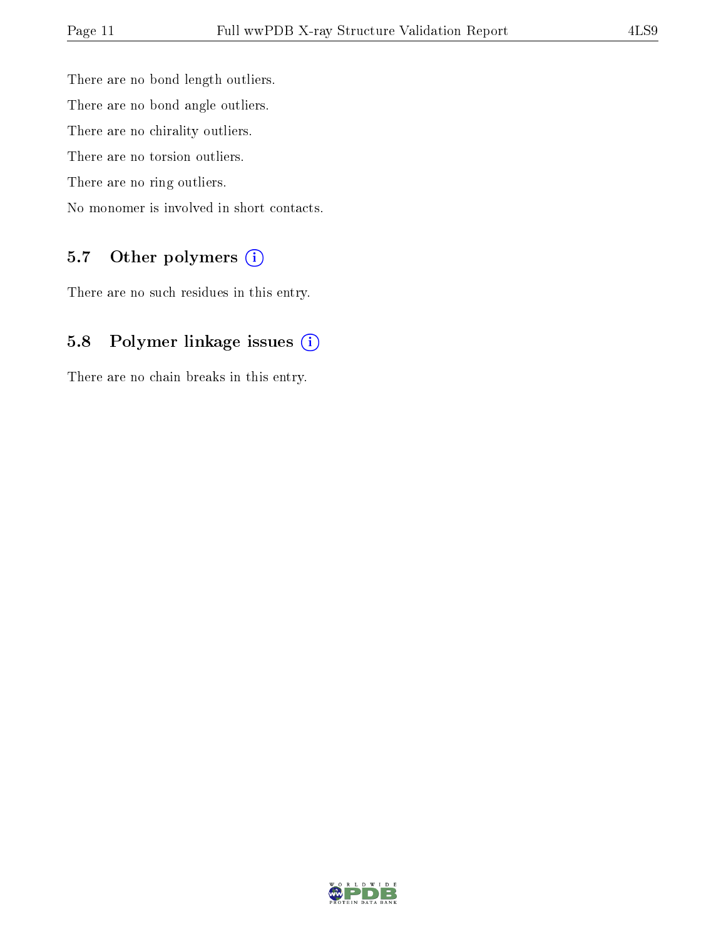There are no bond length outliers. There are no bond angle outliers. There are no chirality outliers. There are no torsion outliers. There are no ring outliers. No monomer is involved in short contacts.

### 5.7 [O](https://www.wwpdb.org/validation/2017/XrayValidationReportHelp#nonstandard_residues_and_ligands)ther polymers (i)

There are no such residues in this entry.

### 5.8 Polymer linkage issues (i)

There are no chain breaks in this entry.

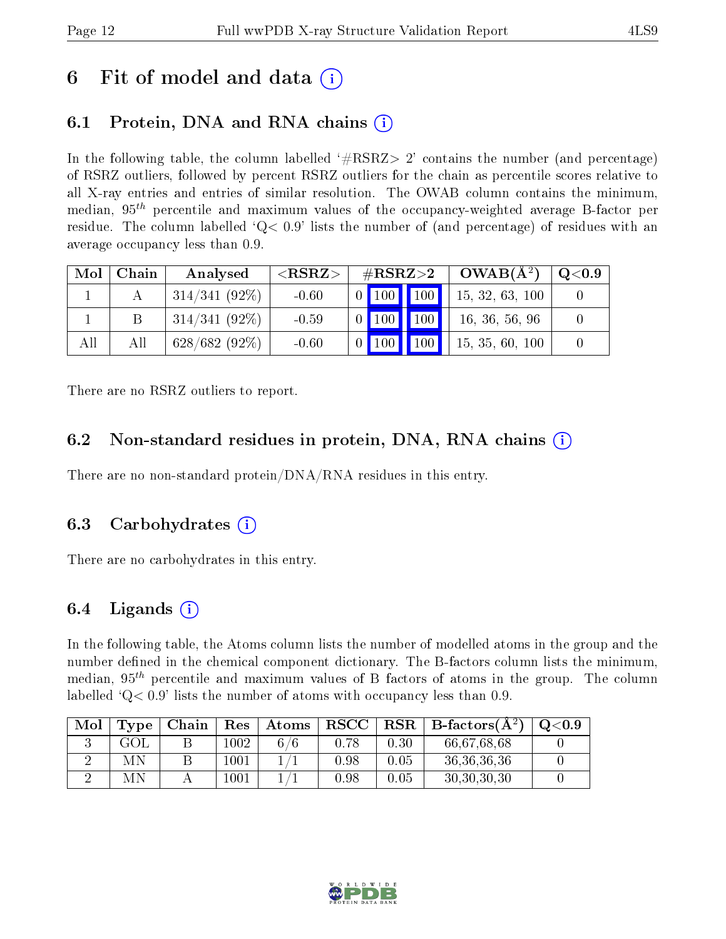# 6 Fit of model and data  $\left( \cdot \right)$

# 6.1 Protein, DNA and RNA chains (i)

In the following table, the column labelled  $#RSRZ>2'$  contains the number (and percentage) of RSRZ outliers, followed by percent RSRZ outliers for the chain as percentile scores relative to all X-ray entries and entries of similar resolution. The OWAB column contains the minimum, median,  $95<sup>th</sup>$  percentile and maximum values of the occupancy-weighted average B-factor per residue. The column labelled  $Q< 0.9$  lists the number of (and percentage) of residues with an average occupancy less than 0.9.

| Mol | Chain | Analysed        | ${ <\hspace{-1.5pt}{\mathrm{RSRZ}} \hspace{-1.5pt}>}$ | $\#\text{RSRZ} > 2$ |  | $OWAB(A^2)$     | $\mathrm{Q}{<}0.9$ |  |
|-----|-------|-----------------|-------------------------------------------------------|---------------------|--|-----------------|--------------------|--|
|     |       | $314/341(92\%)$ | $-0.60$                                               |                     |  | $0$ 100 100     | 15, 32, 63, 100    |  |
|     |       | $314/341(92\%)$ | $-0.59$                                               |                     |  | $0$   100   100 | 16, 36, 56, 96     |  |
| All | All   | $628/682(92\%)$ | $-0.60$                                               |                     |  | $0$ 100 100     | 15, 35, 60, 100    |  |

There are no RSRZ outliers to report.

### 6.2 Non-standard residues in protein, DNA, RNA chains (i)

There are no non-standard protein/DNA/RNA residues in this entry.

### 6.3 Carbohydrates (i)

There are no carbohydrates in this entry.

## 6.4 Ligands  $(i)$

In the following table, the Atoms column lists the number of modelled atoms in the group and the number defined in the chemical component dictionary. The B-factors column lists the minimum, median,  $95<sup>th</sup>$  percentile and maximum values of B factors of atoms in the group. The column labelled  $Q< 0.9$ ' lists the number of atoms with occupancy less than 0.9.

| Mol | $\operatorname{Type}$ | Chain | Res      | $\Delta t$ oms | ${\bf RSCC}$ |          | $RSR   B-factors(A^2)$ | Q <sub>0.9</sub> |
|-----|-----------------------|-------|----------|----------------|--------------|----------|------------------------|------------------|
|     |                       |       | $1002\,$ | 76             | 0.78         | 0.30     | 66,67,68,68            |                  |
|     | МN                    |       | $1001\,$ |                | $0.98\,$     | $0.05\,$ | 36, 36, 36, 36         |                  |
|     | МN                    |       | 1001     |                | 1.98         | 0.05     | 30, 30, 30, 30         |                  |